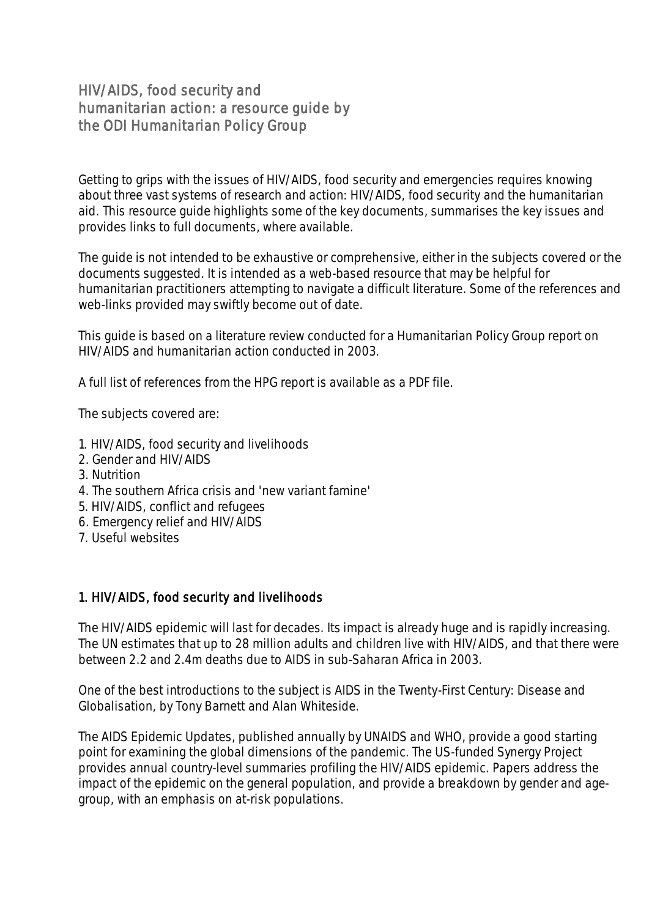# HIV/AIDS, food security and humanitarian action: a resource guide by the ODI Humanitarian Policy Group

Getting to grips with the issues of HIV/AIDS, food security and emergencies requires knowing about three vast systems of research and action: HIV/AIDS, food security and the humanitarian aid. This resource guide highlights some of the key documents, summarises the key issues and provides links to full documents, where available.

The guide is not intended to be exhaustive or comprehensive, either in the subjects covered or the documents suggested. It is intended as a web-based resource that may be helpful for humanitarian practitioners attempting to navigate a difficult literature. Some of the references and web-links provided may swiftly become out of date.

This guide is based on a literature review conducted for a Humanitarian Policy Group report on HIV/AIDS and humanitarian action conducted in 2003.

A full list of references from the HPG report is available as a PDF file.

The subjects covered are:

- 1. HIV/AIDS, food security and livelihoods
- 2. Gender and HIV/AIDS
- 3. Nutrition
- 4. The southern Africa crisis and 'new variant famine'
- 5. HIV/AIDS, conflict and refugees
- 6. Emergency relief and HIV/AIDS
- 7. Useful websites

#### 1. HIV/AIDS, food security and livelihoods

The HIV/AIDS epidemic will last for decades. Its impact is already huge and is rapidly increasing. The UN estimates that up to 28 million adults and children live with HIV/AIDS, and that there were between 2.2 and 2.4m deaths due to AIDS in sub-Saharan Africa in 2003.

One of the best introductions to the subject is AIDS in the Twenty-First Century: Disease and Globalisation, by Tony Barnett and Alan Whiteside.

The AIDS Epidemic Updates, published annually by UNAIDS and WHO, provide a good starting point for examining the global dimensions of the pandemic. The US-funded Synergy Project provides annual country-level summaries profiling the HIV/AIDS epidemic. Papers address the impact of the epidemic on the general population, and provide a breakdown by gender and agegroup, with an emphasis on at-risk populations.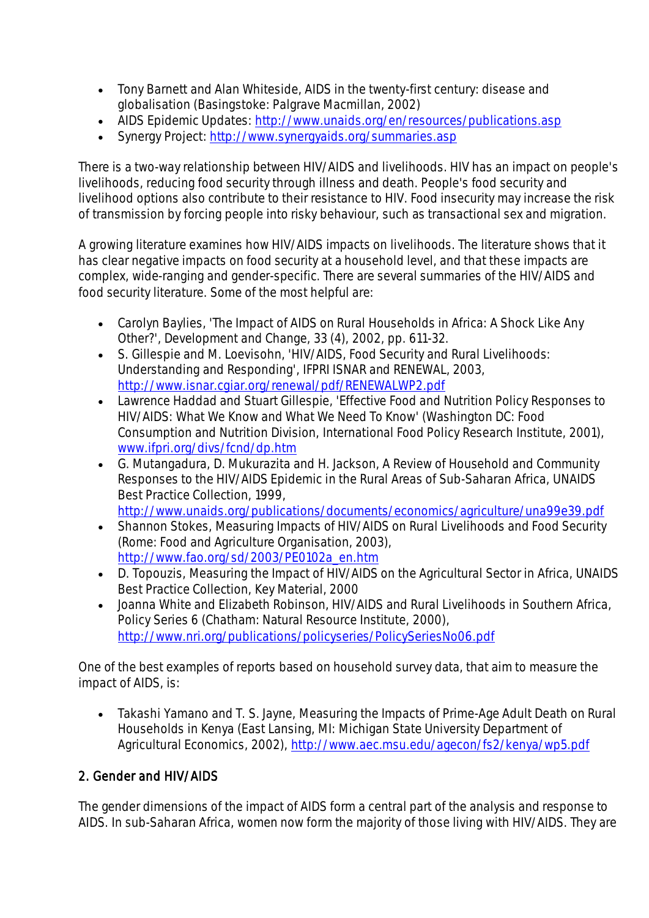- Tony Barnett and Alan Whiteside, AIDS in the twenty-first century: disease and globalisation (Basingstoke: Palgrave Macmillan, 2002)
- AIDS Epidemic Updates:<http://www.unaids.org/en/resources/publications.asp>
- Synergy Project:<http://www.synergyaids.org/summaries.asp>

There is a two-way relationship between HIV/AIDS and livelihoods. HIV has an impact on people's livelihoods, reducing food security through illness and death. People's food security and livelihood options also contribute to their resistance to HIV. Food insecurity may increase the risk of transmission by forcing people into risky behaviour, such as transactional sex and migration.

A growing literature examines how HIV/AIDS impacts on livelihoods. The literature shows that it has clear negative impacts on food security at a household level, and that these impacts are complex, wide-ranging and gender-specific. There are several summaries of the HIV/AIDS and food security literature. Some of the most helpful are:

- Carolyn Baylies, 'The Impact of AIDS on Rural Households in Africa: A Shock Like Any Other?', Development and Change, 33 (4), 2002, pp. 611-32.
- S. Gillespie and M. Loevisohn, 'HIV/AIDS, Food Security and Rural Livelihoods: Understanding and Responding', IFPRI ISNAR and RENEWAL, 2003, <http://www.isnar.cgiar.org/renewal/pdf/RENEWALWP2.pdf>
- Lawrence Haddad and Stuart Gillespie, 'Effective Food and Nutrition Policy Responses to HIV/AIDS: What We Know and What We Need To Know' (Washington DC: Food Consumption and Nutrition Division, International Food Policy Research Institute, 2001), [www.ifpri.org/divs/fcnd/dp.htm](http://www.ifpri.org/divs/fcnd/dp.htm)
- G. Mutangadura, D. Mukurazita and H. Jackson, A Review of Household and Community Responses to the HIV/AIDS Epidemic in the Rural Areas of Sub-Saharan Africa, UNAIDS Best Practice Collection, 1999, <http://www.unaids.org/publications/documents/economics/agriculture/una99e39.pdf>
- Shannon Stokes, Measuring Impacts of HIV/AIDS on Rural Livelihoods and Food Security (Rome: Food and Agriculture Organisation, 2003), [http://www.fao.org/sd/2003/PE0102a\\_en.htm](http://www.fao.org/sd/2003/PE0102a_en.htm)
- D. Topouzis, Measuring the Impact of HIV/AIDS on the Agricultural Sector in Africa, UNAIDS Best Practice Collection, Key Material, 2000
- Joanna White and Elizabeth Robinson, HIV/AIDS and Rural Livelihoods in Southern Africa, Policy Series 6 (Chatham: Natural Resource Institute, 2000), <http://www.nri.org/publications/policyseries/PolicySeriesNo06.pdf>

One of the best examples of reports based on household survey data, that aim to measure the impact of AIDS, is:

 Takashi Yamano and T. S. Jayne, Measuring the Impacts of Prime-Age Adult Death on Rural Households in Kenya (East Lansing, MI: Michigan State University Department of Agricultural Economics, 2002),<http://www.aec.msu.edu/agecon/fs2/kenya/wp5.pdf>

# 2. Gender and HIV/AIDS

The gender dimensions of the impact of AIDS form a central part of the analysis and response to AIDS. In sub-Saharan Africa, women now form the majority of those living with HIV/AIDS. They are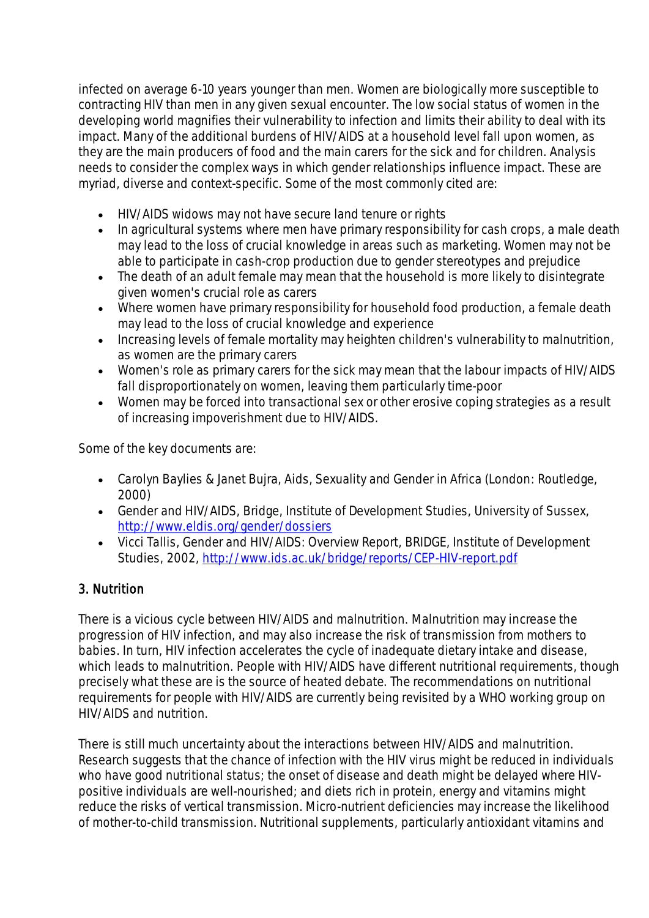infected on average 6-10 years younger than men. Women are biologically more susceptible to contracting HIV than men in any given sexual encounter. The low social status of women in the developing world magnifies their vulnerability to infection and limits their ability to deal with its impact. Many of the additional burdens of HIV/AIDS at a household level fall upon women, as they are the main producers of food and the main carers for the sick and for children. Analysis needs to consider the complex ways in which gender relationships influence impact. These are myriad, diverse and context-specific. Some of the most commonly cited are:

- HIV/AIDS widows may not have secure land tenure or rights
- In agricultural systems where men have primary responsibility for cash crops, a male death may lead to the loss of crucial knowledge in areas such as marketing. Women may not be able to participate in cash-crop production due to gender stereotypes and prejudice
- The death of an adult female may mean that the household is more likely to disintegrate given women's crucial role as carers
- Where women have primary responsibility for household food production, a female death may lead to the loss of crucial knowledge and experience
- Increasing levels of female mortality may heighten children's vulnerability to malnutrition, as women are the primary carers
- Women's role as primary carers for the sick may mean that the labour impacts of HIV/AIDS fall disproportionately on women, leaving them particularly time-poor
- Women may be forced into transactional sex or other erosive coping strategies as a result of increasing impoverishment due to HIV/AIDS.

Some of the key documents are:

- Carolyn Baylies & Janet Bujra, Aids, Sexuality and Gender in Africa (London: Routledge, 2000)
- Gender and HIV/AIDS, Bridge, Institute of Development Studies, University of Sussex, <http://www.eldis.org/gender/dossiers>
- Vicci Tallis, Gender and HIV/AIDS: Overview Report, BRIDGE, Institute of Development Studies, 2002,<http://www.ids.ac.uk/bridge/reports/CEP-HIV-report.pdf>

# 3. Nutrition

There is a vicious cycle between HIV/AIDS and malnutrition. Malnutrition may increase the progression of HIV infection, and may also increase the risk of transmission from mothers to babies. In turn, HIV infection accelerates the cycle of inadequate dietary intake and disease, which leads to malnutrition. People with HIV/AIDS have different nutritional requirements, though precisely what these are is the source of heated debate. The recommendations on nutritional requirements for people with HIV/AIDS are currently being revisited by a WHO working group on HIV/AIDS and nutrition.

There is still much uncertainty about the interactions between HIV/AIDS and malnutrition. Research suggests that the chance of infection with the HIV virus might be reduced in individuals who have good nutritional status; the onset of disease and death might be delayed where HIVpositive individuals are well-nourished; and diets rich in protein, energy and vitamins might reduce the risks of vertical transmission. Micro-nutrient deficiencies may increase the likelihood of mother-to-child transmission. Nutritional supplements, particularly antioxidant vitamins and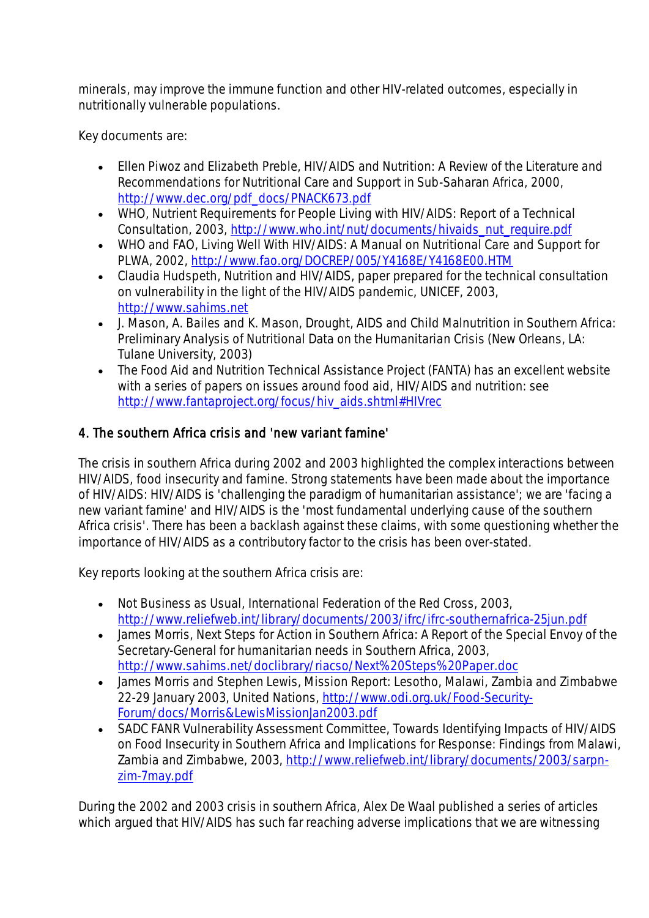minerals, may improve the immune function and other HIV-related outcomes, especially in nutritionally vulnerable populations.

Key documents are:

- Ellen Piwoz and Elizabeth Preble, HIV/AIDS and Nutrition: A Review of the Literature and Recommendations for Nutritional Care and Support in Sub-Saharan Africa, 2000, [http://www.dec.org/pdf\\_docs/PNACK673.pdf](http://www.dec.org/pdf_docs/PNACK673.pdf)
- WHO, Nutrient Requirements for People Living with HIV/AIDS: Report of a Technical Consultation, 2003, [http://www.who.int/nut/documents/hivaids\\_nut\\_require.pdf](http://www.who.int/nut/documents/hivaids_nut_require.pdf)
- WHO and FAO, Living Well With HIV/AIDS: A Manual on Nutritional Care and Support for PLWA, 2002,<http://www.fao.org/DOCREP/005/Y4168E/Y4168E00.HTM>
- Claudia Hudspeth, Nutrition and HIV/AIDS, paper prepared for the technical consultation on vulnerability in the light of the HIV/AIDS pandemic, UNICEF, 2003, [http://www.sahims.net](http://www.sahims.net/)
- J. Mason, A. Bailes and K. Mason, Drought, AIDS and Child Malnutrition in Southern Africa: Preliminary Analysis of Nutritional Data on the Humanitarian Crisis (New Orleans, LA: Tulane University, 2003)
- The Food Aid and Nutrition Technical Assistance Project (FANTA) has an excellent website with a series of papers on issues around food aid, HIV/AIDS and nutrition: see [http://www.fantaproject.org/focus/hiv\\_aids.shtml#HIVrec](http://www.fantaproject.org/focus/hiv_aids.shtml#HIVrec)

### 4. The southern Africa crisis and 'new variant famine'

The crisis in southern Africa during 2002 and 2003 highlighted the complex interactions between HIV/AIDS, food insecurity and famine. Strong statements have been made about the importance of HIV/AIDS: HIV/AIDS is 'challenging the paradigm of humanitarian assistance'; we are 'facing a new variant famine' and HIV/AIDS is the 'most fundamental underlying cause of the southern Africa crisis'. There has been a backlash against these claims, with some questioning whether the importance of HIV/AIDS as a contributory factor to the crisis has been over-stated.

Key reports looking at the southern Africa crisis are:

- Not Business as Usual, International Federation of the Red Cross, 2003, <http://www.reliefweb.int/library/documents/2003/ifrc/ifrc-southernafrica-25jun.pdf>
- James Morris, Next Steps for Action in Southern Africa: A Report of the Special Envoy of the Secretary-General for humanitarian needs in Southern Africa, 2003, <http://www.sahims.net/doclibrary/riacso/Next%20Steps%20Paper.doc>
- James Morris and Stephen Lewis, Mission Report: Lesotho, Malawi, Zambia and Zimbabwe 22-29 January 2003, United Nations[, http://www.odi.org.uk/Food-Security-](http://www.odi.org.uk/Food-Security-Forum/docs/Morris&LewisMissionJan2003.pdf)[Forum/docs/Morris&LewisMissionJan2003.pdf](http://www.odi.org.uk/Food-Security-Forum/docs/Morris&LewisMissionJan2003.pdf)
- SADC FANR Vulnerability Assessment Committee, Towards Identifying Impacts of HIV/AIDS on Food Insecurity in Southern Africa and Implications for Response: Findings from Malawi, Zambia and Zimbabwe, 2003, [http://www.reliefweb.int/library/documents/2003/sarpn](http://www.reliefweb.int/library/documents/2003/sarpn-zim-7may.pdf)[zim-7may.pdf](http://www.reliefweb.int/library/documents/2003/sarpn-zim-7may.pdf)

During the 2002 and 2003 crisis in southern Africa, Alex De Waal published a series of articles which argued that HIV/AIDS has such far reaching adverse implications that we are witnessing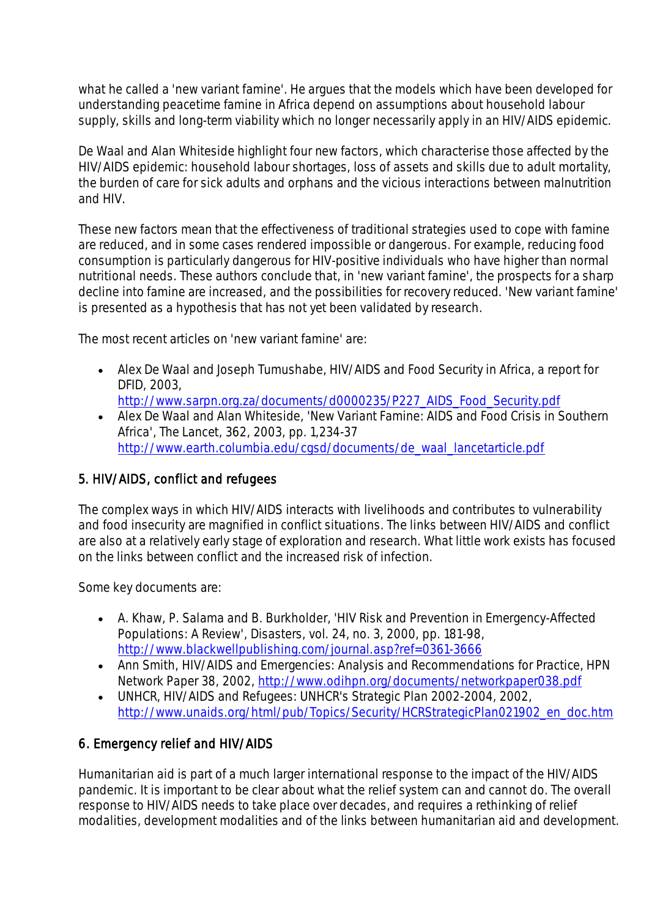what he called a 'new variant famine'. He argues that the models which have been developed for understanding peacetime famine in Africa depend on assumptions about household labour supply, skills and long-term viability which no longer necessarily apply in an HIV/AIDS epidemic.

De Waal and Alan Whiteside highlight four new factors, which characterise those affected by the HIV/AIDS epidemic: household labour shortages, loss of assets and skills due to adult mortality, the burden of care for sick adults and orphans and the vicious interactions between malnutrition and HIV.

These new factors mean that the effectiveness of traditional strategies used to cope with famine are reduced, and in some cases rendered impossible or dangerous. For example, reducing food consumption is particularly dangerous for HIV-positive individuals who have higher than normal nutritional needs. These authors conclude that, in 'new variant famine', the prospects for a sharp decline into famine are increased, and the possibilities for recovery reduced. 'New variant famine' is presented as a hypothesis that has not yet been validated by research.

The most recent articles on 'new variant famine' are:

- Alex De Waal and Joseph Tumushabe, HIV/AIDS and Food Security in Africa, a report for DFID, 2003,
	- [http://www.sarpn.org.za/documents/d0000235/P227\\_AIDS\\_Food\\_Security.pdf](http://www.sarpn.org.za/documents/d0000235/P227_AIDS_Food_Security.pdf)
- Alex De Waal and Alan Whiteside, 'New Variant Famine: AIDS and Food Crisis in Southern Africa', The Lancet, 362, 2003, pp. 1,234-37 [http://www.earth.columbia.edu/cgsd/documents/de\\_waal\\_lancetarticle.pdf](http://www.earth.columbia.edu/cgsd/documents/de_waal_lancetarticle.pdf)

# 5. HIV/AIDS, conflict and refugees

The complex ways in which HIV/AIDS interacts with livelihoods and contributes to vulnerability and food insecurity are magnified in conflict situations. The links between HIV/AIDS and conflict are also at a relatively early stage of exploration and research. What little work exists has focused on the links between conflict and the increased risk of infection.

Some key documents are:

- A. Khaw, P. Salama and B. Burkholder, 'HIV Risk and Prevention in Emergency-Affected Populations: A Review', Disasters, vol. 24, no. 3, 2000, pp. 181-98, <http://www.blackwellpublishing.com/journal.asp?ref=0361-3666>
- Ann Smith, HIV/AIDS and Emergencies: Analysis and Recommendations for Practice, HPN Network Paper 38, 2002,<http://www.odihpn.org/documents/networkpaper038.pdf>
- UNHCR, HIV/AIDS and Refugees: UNHCR's Strategic Plan 2002-2004, 2002, [http://www.unaids.org/html/pub/Topics/Security/HCRStrategicPlan021902\\_en\\_doc.htm](http://www.unaids.org/html/pub/Topics/Security/HCRStrategicPlan021902_en_doc.htm)

# 6. Emergency relief and HIV/AIDS

Humanitarian aid is part of a much larger international response to the impact of the HIV/AIDS pandemic. It is important to be clear about what the relief system can and cannot do. The overall response to HIV/AIDS needs to take place over decades, and requires a rethinking of relief modalities, development modalities and of the links between humanitarian aid and development.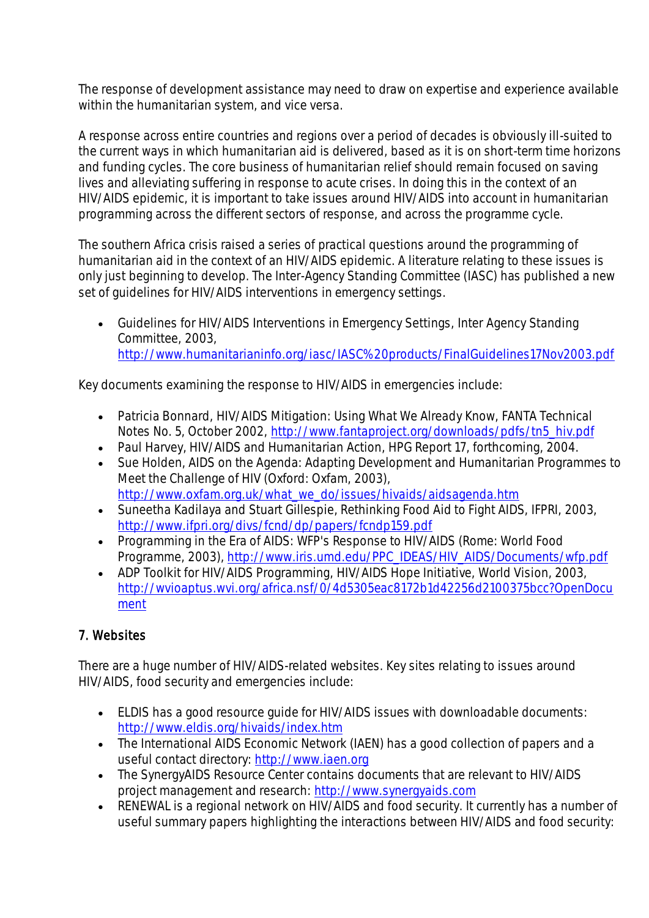The response of development assistance may need to draw on expertise and experience available within the humanitarian system, and vice versa.

A response across entire countries and regions over a period of decades is obviously ill-suited to the current ways in which humanitarian aid is delivered, based as it is on short-term time horizons and funding cycles. The core business of humanitarian relief should remain focused on saving lives and alleviating suffering in response to acute crises. In doing this in the context of an HIV/AIDS epidemic, it is important to take issues around HIV/AIDS into account in humanitarian programming across the different sectors of response, and across the programme cycle.

The southern Africa crisis raised a series of practical questions around the programming of humanitarian aid in the context of an HIV/AIDS epidemic. A literature relating to these issues is only just beginning to develop. The Inter-Agency Standing Committee (IASC) has published a new set of guidelines for HIV/AIDS interventions in emergency settings.

 Guidelines for HIV/AIDS Interventions in Emergency Settings, Inter Agency Standing Committee, 2003, <http://www.humanitarianinfo.org/iasc/IASC%20products/FinalGuidelines17Nov2003.pdf>

Key documents examining the response to HIV/AIDS in emergencies include:

- Patricia Bonnard, HIV/AIDS Mitigation: Using What We Already Know, FANTA Technical Notes No. 5, October 2002, [http://www.fantaproject.org/downloads/pdfs/tn5\\_hiv.pdf](http://www.fantaproject.org/downloads/pdfs/tn5_hiv.pdf)
- Paul Harvey, HIV/AIDS and Humanitarian Action, HPG Report 17, forthcoming, 2004.
- Sue Holden, AIDS on the Agenda: Adapting Development and Humanitarian Programmes to Meet the Challenge of HIV (Oxford: Oxfam, 2003), [http://www.oxfam.org.uk/what\\_we\\_do/issues/hivaids/aidsagenda.htm](http://www.oxfam.org.uk/what_we_do/issues/hivaids/aidsagenda.htm)
- Suneetha Kadilaya and Stuart Gillespie, Rethinking Food Aid to Fight AIDS, IFPRI, 2003, <http://www.ifpri.org/divs/fcnd/dp/papers/fcndp159.pdf>
- Programming in the Era of AIDS: WFP's Response to HIV/AIDS (Rome: World Food Programme, 2003), [http://www.iris.umd.edu/PPC\\_IDEAS/HIV\\_AIDS/Documents/wfp.pdf](http://www.iris.umd.edu/PPC_IDEAS/HIV_AIDS/Documents/wfp.pdf)
- ADP Toolkit for HIV/AIDS Programming, HIV/AIDS Hope Initiative, World Vision, 2003, [http://wvioaptus.wvi.org/africa.nsf/0/4d5305eac8172b1d42256d2100375bcc?OpenDocu](http://wvioaptus.wvi.org/africa.nsf/0/4d5305eac8172b1d42256d2100375bcc?OpenDocument) [ment](http://wvioaptus.wvi.org/africa.nsf/0/4d5305eac8172b1d42256d2100375bcc?OpenDocument)

# 7. Websites

There are a huge number of HIV/AIDS-related websites. Key sites relating to issues around HIV/AIDS, food security and emergencies include:

- ELDIS has a good resource guide for HIV/AIDS issues with downloadable documents: <http://www.eldis.org/hivaids/index.htm>
- The International AIDS Economic Network (IAEN) has a good collection of papers and a useful contact directory: [http://www.iaen.org](http://www.iaen.org/)
- The SynergyAIDS Resource Center contains documents that are relevant to HIV/AIDS project management and research: [http://www.synergyaids.com](http://www.synergyaids.com/)
- RENEWAL is a regional network on HIV/AIDS and food security. It currently has a number of useful summary papers highlighting the interactions between HIV/AIDS and food security: